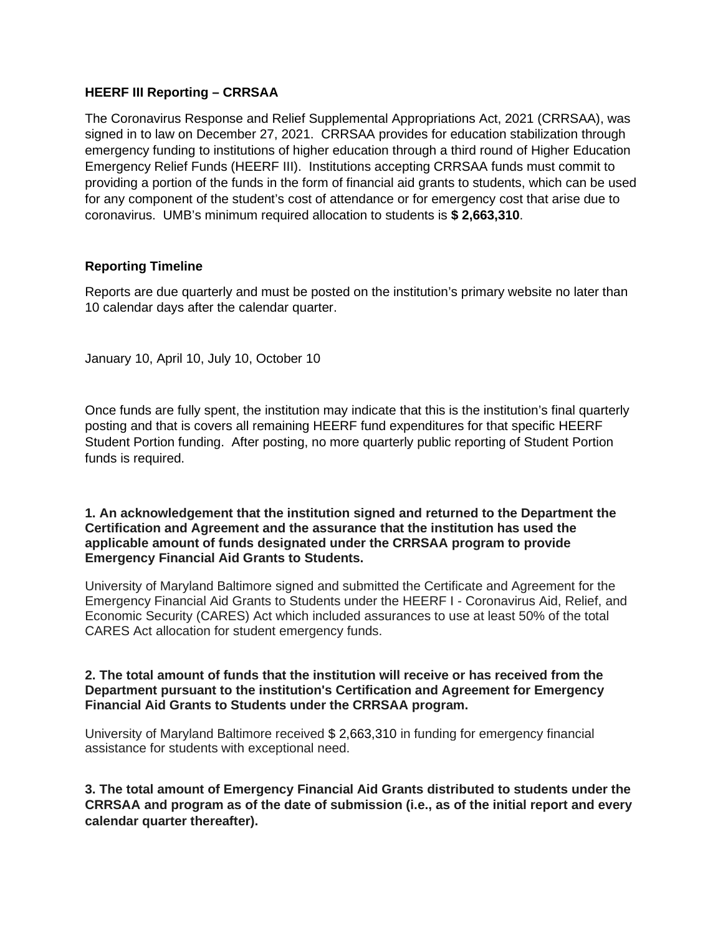## **HEERF III Reporting – CRRSAA**

The Coronavirus Response and Relief Supplemental Appropriations Act, 2021 (CRRSAA), was signed in to law on December 27, 2021. CRRSAA provides for education stabilization through emergency funding to institutions of higher education through a third round of Higher Education Emergency Relief Funds (HEERF III). Institutions accepting CRRSAA funds must commit to providing a portion of the funds in the form of financial aid grants to students, which can be used for any component of the student's cost of attendance or for emergency cost that arise due to coronavirus. UMB's minimum required allocation to students is **\$ 2,663,310**.

## **Reporting Timeline**

Reports are due quarterly and must be posted on the institution's primary website no later than 10 calendar days after the calendar quarter.

January 10, April 10, July 10, October 10

Once funds are fully spent, the institution may indicate that this is the institution's final quarterly posting and that is covers all remaining HEERF fund expenditures for that specific HEERF Student Portion funding. After posting, no more quarterly public reporting of Student Portion funds is required.

#### **1. An acknowledgement that the institution signed and returned to the Department the Certification and Agreement and the assurance that the institution has used the applicable amount of funds designated under the CRRSAA program to provide Emergency Financial Aid Grants to Students.**

University of Maryland Baltimore signed and submitted the Certificate and Agreement for the Emergency Financial Aid Grants to Students under the HEERF I - Coronavirus Aid, Relief, and Economic Security (CARES) Act which included assurances to use at least 50% of the total CARES Act allocation for student emergency funds.

#### **2. The total amount of funds that the institution will receive or has received from the Department pursuant to the institution's Certification and Agreement for Emergency Financial Aid Grants to Students under the CRRSAA program.**

University of Maryland Baltimore received \$ 2,663,310 in funding for emergency financial assistance for students with exceptional need.

**3. The total amount of Emergency Financial Aid Grants distributed to students under the CRRSAA and program as of the date of submission (i.e., as of the initial report and every calendar quarter thereafter).**